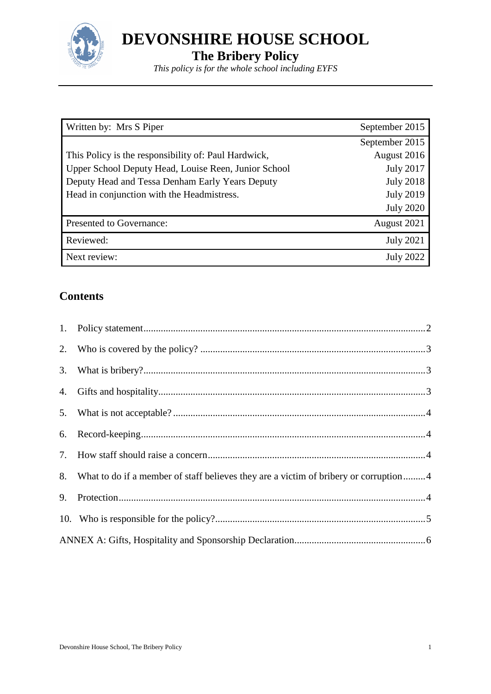

**DEVONSHIRE HOUSE SCHOOL**

**The Bribery Policy**

*This policy is for the whole school including EYFS*

| Written by: Mrs S Piper                              | September 2015   |
|------------------------------------------------------|------------------|
|                                                      | September 2015   |
| This Policy is the responsibility of: Paul Hardwick, | August 2016      |
| Upper School Deputy Head, Louise Reen, Junior School | <b>July 2017</b> |
| Deputy Head and Tessa Denham Early Years Deputy      | <b>July 2018</b> |
| Head in conjunction with the Headmistress.           | <b>July 2019</b> |
|                                                      | <b>July 2020</b> |
| Presented to Governance:                             | August 2021      |
| Reviewed:                                            | <b>July 2021</b> |
| Next review:                                         | <b>July 2022</b> |

# **Contents**

|    | 8. What to do if a member of staff believes they are a victim of bribery or corruption4 |  |
|----|-----------------------------------------------------------------------------------------|--|
| 9. |                                                                                         |  |
|    |                                                                                         |  |
|    |                                                                                         |  |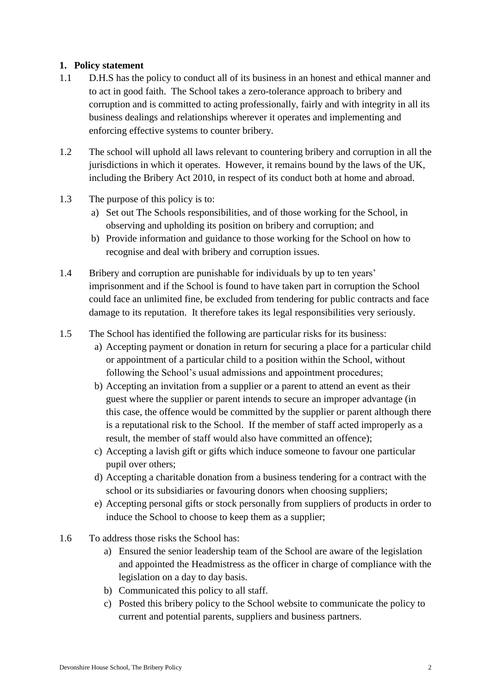# <span id="page-1-0"></span>**1. Policy statement**

- 1.1 D.H.S has the policy to conduct all of its business in an honest and ethical manner and to act in good faith. The School takes a zero-tolerance approach to bribery and corruption and is committed to acting professionally, fairly and with integrity in all its business dealings and relationships wherever it operates and implementing and enforcing effective systems to counter bribery.
- 1.2 The school will uphold all laws relevant to countering bribery and corruption in all the jurisdictions in which it operates. However, it remains bound by the laws of the UK, including the Bribery Act 2010, in respect of its conduct both at home and abroad.
- 1.3 The purpose of this policy is to:
	- a) Set out The Schools responsibilities, and of those working for the School, in observing and upholding its position on bribery and corruption; and
	- b) Provide information and guidance to those working for the School on how to recognise and deal with bribery and corruption issues.
- 1.4 Bribery and corruption are punishable for individuals by up to ten years' imprisonment and if the School is found to have taken part in corruption the School could face an unlimited fine, be excluded from tendering for public contracts and face damage to its reputation. It therefore takes its legal responsibilities very seriously.
- 1.5 The School has identified the following are particular risks for its business:
	- a) Accepting payment or donation in return for securing a place for a particular child or appointment of a particular child to a position within the School, without following the School's usual admissions and appointment procedures;
	- b) Accepting an invitation from a supplier or a parent to attend an event as their guest where the supplier or parent intends to secure an improper advantage (in this case, the offence would be committed by the supplier or parent although there is a reputational risk to the School. If the member of staff acted improperly as a result, the member of staff would also have committed an offence);
	- c) Accepting a lavish gift or gifts which induce someone to favour one particular pupil over others;
	- d) Accepting a charitable donation from a business tendering for a contract with the school or its subsidiaries or favouring donors when choosing suppliers;
	- e) Accepting personal gifts or stock personally from suppliers of products in order to induce the School to choose to keep them as a supplier;
- 1.6 To address those risks the School has:
	- a) Ensured the senior leadership team of the School are aware of the legislation and appointed the Headmistress as the officer in charge of compliance with the legislation on a day to day basis.
	- b) Communicated this policy to all staff.
	- c) Posted this bribery policy to the School website to communicate the policy to current and potential parents, suppliers and business partners.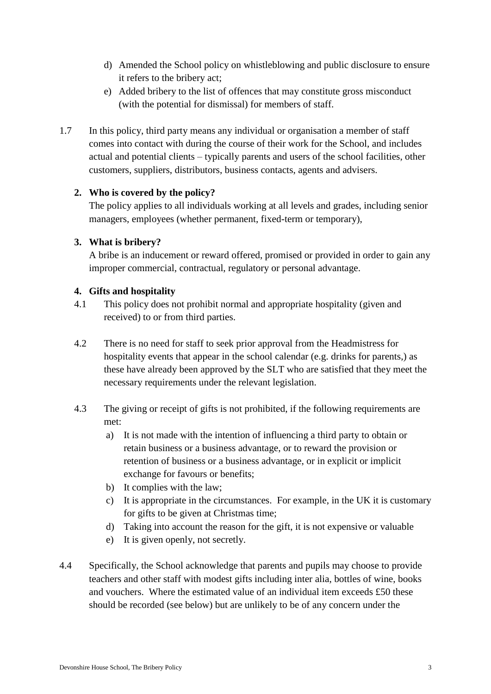- d) Amended the School policy on whistleblowing and public disclosure to ensure it refers to the bribery act;
- e) Added bribery to the list of offences that may constitute gross misconduct (with the potential for dismissal) for members of staff.
- 1.7 In this policy, third party means any individual or organisation a member of staff comes into contact with during the course of their work for the School, and includes actual and potential clients – typically parents and users of the school facilities, other customers, suppliers, distributors, business contacts, agents and advisers.

# <span id="page-2-0"></span>**2. Who is covered by the policy?**

The policy applies to all individuals working at all levels and grades, including senior managers, employees (whether permanent, fixed-term or temporary),

# <span id="page-2-1"></span>**3. What is bribery?**

A bribe is an inducement or reward offered, promised or provided in order to gain any improper commercial, contractual, regulatory or personal advantage.

# <span id="page-2-2"></span>**4. Gifts and hospitality**

- 4.1 This policy does not prohibit normal and appropriate hospitality (given and received) to or from third parties.
- 4.2 There is no need for staff to seek prior approval from the Headmistress for hospitality events that appear in the school calendar (e.g. drinks for parents,) as these have already been approved by the SLT who are satisfied that they meet the necessary requirements under the relevant legislation.
- 4.3 The giving or receipt of gifts is not prohibited, if the following requirements are met:
	- a) It is not made with the intention of influencing a third party to obtain or retain business or a business advantage, or to reward the provision or retention of business or a business advantage, or in explicit or implicit exchange for favours or benefits;
	- b) It complies with the law;
	- c) It is appropriate in the circumstances. For example, in the UK it is customary for gifts to be given at Christmas time;
	- d) Taking into account the reason for the gift, it is not expensive or valuable
	- e) It is given openly, not secretly.
- 4.4 Specifically, the School acknowledge that parents and pupils may choose to provide teachers and other staff with modest gifts including inter alia, bottles of wine, books and vouchers. Where the estimated value of an individual item exceeds  $£50$  these should be recorded (see below) but are unlikely to be of any concern under the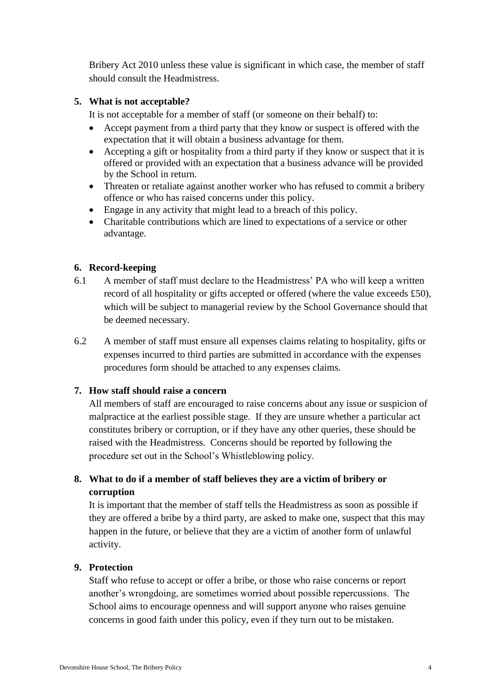Bribery Act 2010 unless these value is significant in which case, the member of staff should consult the Headmistress.

## <span id="page-3-0"></span>**5. What is not acceptable?**

It is not acceptable for a member of staff (or someone on their behalf) to:

- Accept payment from a third party that they know or suspect is offered with the expectation that it will obtain a business advantage for them.
- Accepting a gift or hospitality from a third party if they know or suspect that it is offered or provided with an expectation that a business advance will be provided by the School in return.
- Threaten or retaliate against another worker who has refused to commit a bribery offence or who has raised concerns under this policy.
- Engage in any activity that might lead to a breach of this policy.
- Charitable contributions which are lined to expectations of a service or other advantage.

#### <span id="page-3-1"></span>**6. Record-keeping**

- 6.1 A member of staff must declare to the Headmistress' PA who will keep a written record of all hospitality or gifts accepted or offered (where the value exceeds £50), which will be subject to managerial review by the School Governance should that be deemed necessary.
- 6.2 A member of staff must ensure all expenses claims relating to hospitality, gifts or expenses incurred to third parties are submitted in accordance with the expenses procedures form should be attached to any expenses claims.

# <span id="page-3-2"></span>**7. How staff should raise a concern**

All members of staff are encouraged to raise concerns about any issue or suspicion of malpractice at the earliest possible stage. If they are unsure whether a particular act constitutes bribery or corruption, or if they have any other queries, these should be raised with the Headmistress. Concerns should be reported by following the procedure set out in the School's Whistleblowing policy.

# <span id="page-3-3"></span>**8. What to do if a member of staff believes they are a victim of bribery or corruption**

It is important that the member of staff tells the Headmistress as soon as possible if they are offered a bribe by a third party, are asked to make one, suspect that this may happen in the future, or believe that they are a victim of another form of unlawful activity.

#### <span id="page-3-4"></span>**9. Protection**

Staff who refuse to accept or offer a bribe, or those who raise concerns or report another's wrongdoing, are sometimes worried about possible repercussions. The School aims to encourage openness and will support anyone who raises genuine concerns in good faith under this policy, even if they turn out to be mistaken.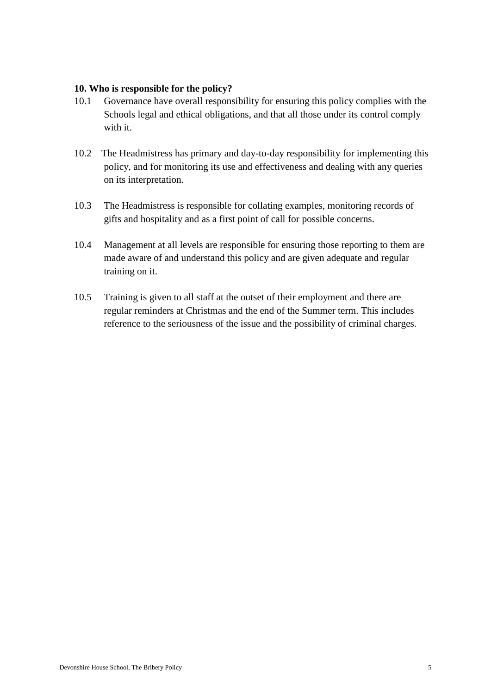#### <span id="page-4-0"></span>**10. Who is responsible for the policy?**

- 10.1 Governance have overall responsibility for ensuring this policy complies with the Schools legal and ethical obligations, and that all those under its control comply with it.
- 10.2 The Headmistress has primary and day-to-day responsibility for implementing this policy, and for monitoring its use and effectiveness and dealing with any queries on its interpretation.
- 10.3 The Headmistress is responsible for collating examples, monitoring records of gifts and hospitality and as a first point of call for possible concerns.
- 10.4 Management at all levels are responsible for ensuring those reporting to them are made aware of and understand this policy and are given adequate and regular training on it.
- 10.5 Training is given to all staff at the outset of their employment and there are regular reminders at Christmas and the end of the Summer term. This includes reference to the seriousness of the issue and the possibility of criminal charges.